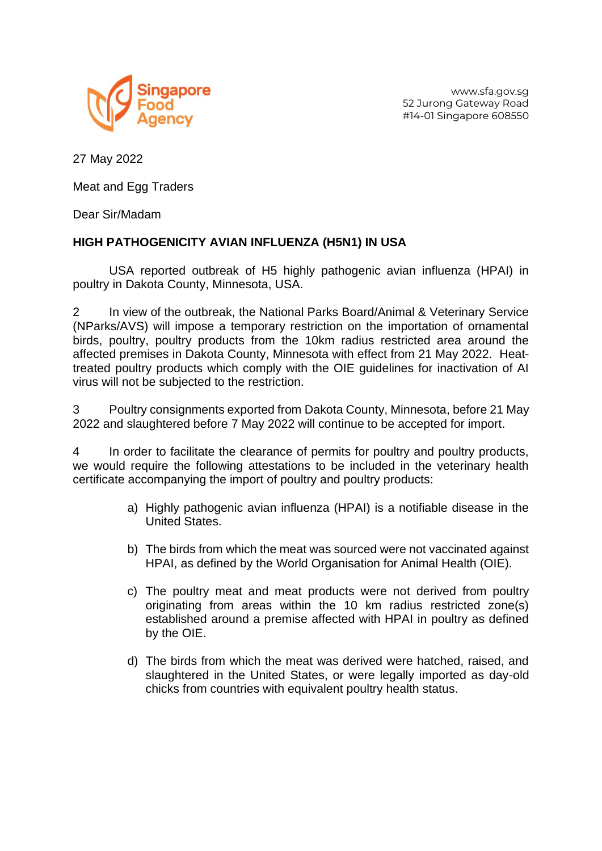

www.sfa.gov.sg 52 Jurong Gateway Road #14-01 Singapore 608550

27 May 2022

Meat and Egg Traders

Dear Sir/Madam

## **HIGH PATHOGENICITY AVIAN INFLUENZA (H5N1) IN USA**

USA reported outbreak of H5 highly pathogenic avian influenza (HPAI) in poultry in Dakota County, Minnesota, USA.

2 In view of the outbreak, the National Parks Board/Animal & Veterinary Service (NParks/AVS) will impose a temporary restriction on the importation of ornamental birds, poultry, poultry products from the 10km radius restricted area around the affected premises in Dakota County, Minnesota with effect from 21 May 2022. Heattreated poultry products which comply with the OIE guidelines for inactivation of AI virus will not be subjected to the restriction.

3 Poultry consignments exported from Dakota County, Minnesota, before 21 May 2022 and slaughtered before 7 May 2022 will continue to be accepted for import.

4 In order to facilitate the clearance of permits for poultry and poultry products, we would require the following attestations to be included in the veterinary health certificate accompanying the import of poultry and poultry products:

- a) Highly pathogenic avian influenza (HPAI) is a notifiable disease in the United States.
- b) The birds from which the meat was sourced were not vaccinated against HPAI, as defined by the World Organisation for Animal Health (OIE).
- c) The poultry meat and meat products were not derived from poultry originating from areas within the 10 km radius restricted zone(s) established around a premise affected with HPAI in poultry as defined by the OIE.
- d) The birds from which the meat was derived were hatched, raised, and slaughtered in the United States, or were legally imported as day-old chicks from countries with equivalent poultry health status.